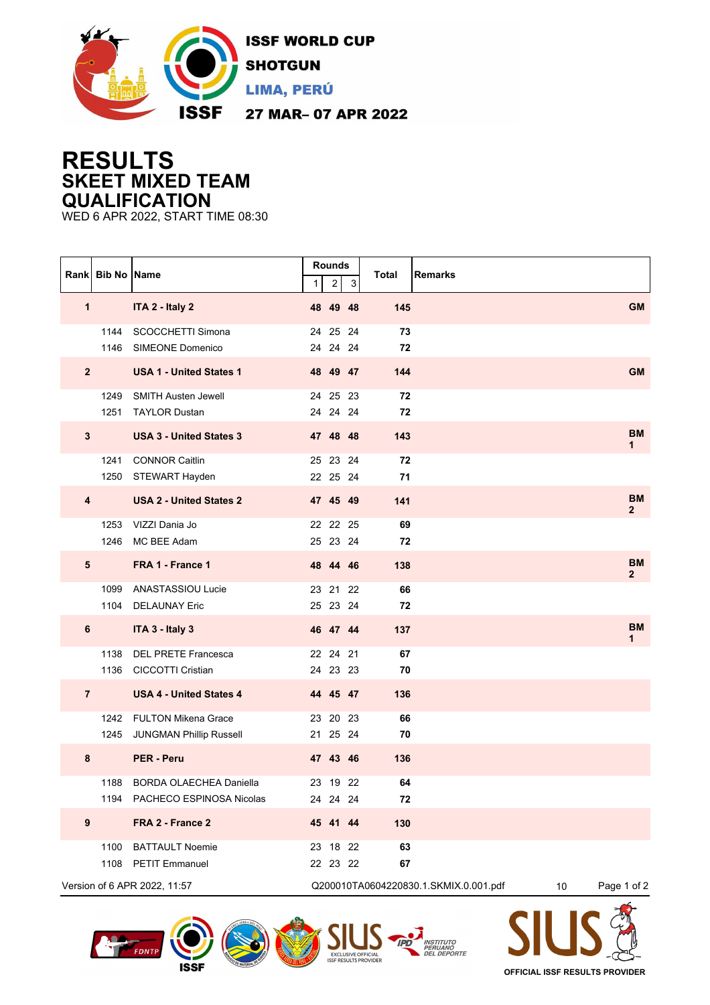

## **RESULTS SKEET MIXED TEAM QUALIFICATION**

WED 6 APR 2022, START TIME 08:30

|                              | Rank Bib No Name |                                                          | 1 | <b>Rounds</b><br>2   | 3  | Total<br><b>Remarks</b>               |                 |                           |
|------------------------------|------------------|----------------------------------------------------------|---|----------------------|----|---------------------------------------|-----------------|---------------------------|
| 1                            |                  | ITA 2 - Italy 2                                          |   | 48 49 48             |    | 145                                   |                 | <b>GM</b>                 |
|                              | 1144<br>1146     | SCOCCHETTI Simona<br>SIMEONE Domenico                    |   | 24 25 24<br>24 24 24 |    | 73<br>72                              |                 |                           |
| $\overline{2}$               |                  | <b>USA 1 - United States 1</b>                           |   | 48 49 47             |    | 144                                   |                 | <b>GM</b>                 |
|                              | 1249<br>1251     | <b>SMITH Austen Jewell</b><br><b>TAYLOR Dustan</b>       |   | 24 25 23<br>24 24 24 |    | 72<br>72                              |                 |                           |
| $\mathbf{3}$                 |                  | <b>USA 3 - United States 3</b>                           |   | 47 48 48             |    | 143                                   |                 | <b>BM</b><br>1            |
|                              | 1241             | <b>CONNOR Caitlin</b><br>1250 STEWART Hayden             |   | 25 23 24<br>22 25 24 |    | 72<br>71                              |                 |                           |
| $\overline{\mathbf{4}}$      |                  | <b>USA 2 - United States 2</b>                           |   | 47 45 49             |    | 141                                   |                 | <b>BM</b><br>$\mathbf{2}$ |
|                              | 1253<br>1246     | VIZZI Dania Jo<br>MC BEE Adam                            |   | 22 22 25<br>25 23 24 |    | 69<br>72                              |                 |                           |
| $5\phantom{.0}$              |                  | FRA 1 - France 1                                         |   | 48 44 46             |    | 138                                   |                 | <b>BM</b><br>$\mathbf{2}$ |
|                              | 1104             | 1099 ANASTASSIOU Lucie<br><b>DELAUNAY Eric</b>           |   | 23 21 22<br>25 23 24 |    | 66<br>72                              |                 |                           |
| 6                            |                  | ITA 3 - Italy 3                                          |   | 46 47 44             |    | 137                                   |                 | <b>BM</b><br>1            |
|                              | 1138             | <b>DEL PRETE Francesca</b><br>1136 CICCOTTI Cristian     |   | 22 24 21<br>24 23 23 |    | 67<br>70                              |                 |                           |
| $\overline{7}$               |                  | <b>USA 4 - United States 4</b>                           |   | 44 45 47             |    | 136                                   |                 |                           |
|                              |                  | 1242 FULTON Mikena Grace<br>1245 JUNGMAN Phillip Russell |   | 23 20 23<br>21 25    | 24 | 66<br>70                              |                 |                           |
| 8                            |                  | <b>PER - Peru</b>                                        |   | 47 43 46             |    | 136                                   |                 |                           |
|                              | 1188             | <b>BORDA OLAECHEA Daniella</b>                           |   | 23 19 22             |    | 64                                    |                 |                           |
|                              |                  | 1194 PACHECO ESPINOSA Nicolas                            |   | 24 24 24             |    | 72                                    |                 |                           |
| $\boldsymbol{9}$             |                  | FRA 2 - France 2                                         |   | 45 41 44             |    | 130                                   |                 |                           |
|                              | 1100             | <b>BATTAULT Noemie</b>                                   |   | 23 18 22             |    | 63                                    |                 |                           |
|                              |                  | 1108 PETIT Emmanuel                                      |   | 22 23 22             |    | 67                                    |                 |                           |
| Version of 6 APR 2022, 11:57 |                  |                                                          |   |                      |    | Q200010TA0604220830.1.SKMIX.0.001.pdf | 10 <sup>°</sup> | Page 1 of 2               |